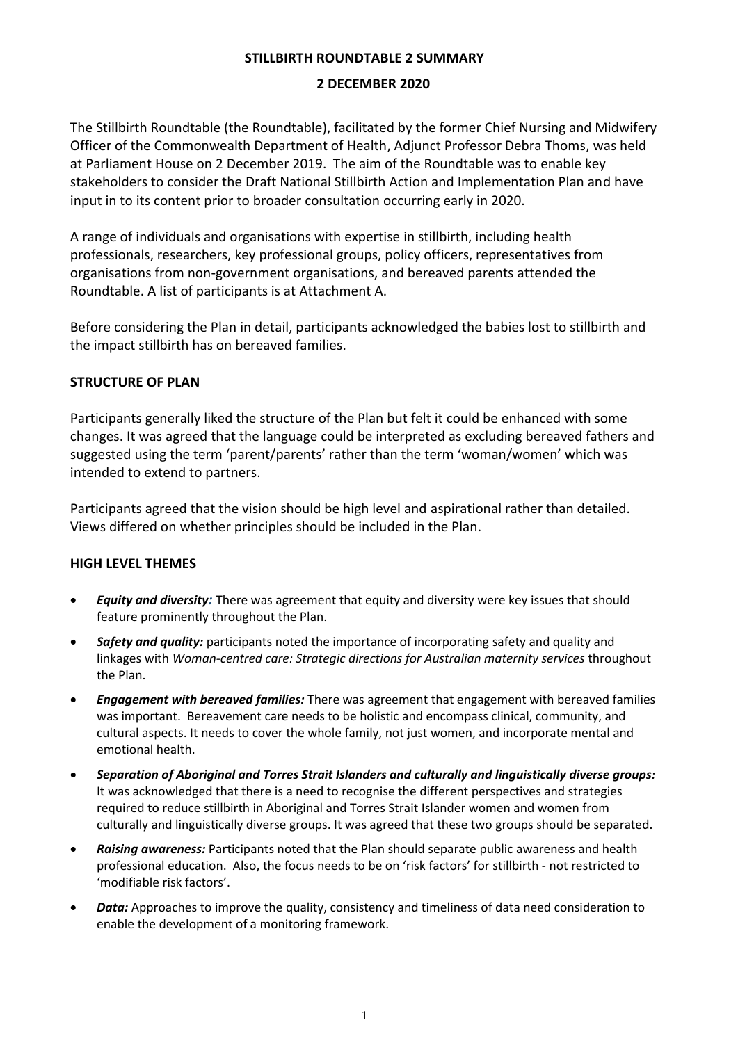### **STILLBIRTH ROUNDTABLE 2 SUMMARY**

### **2 DECEMBER 2020**

The Stillbirth Roundtable (the Roundtable), facilitated by the former Chief Nursing and Midwifery Officer of the Commonwealth Department of Health, Adjunct Professor Debra Thoms, was held at Parliament House on 2 December 2019. The aim of the Roundtable was to enable key stakeholders to consider the Draft National Stillbirth Action and Implementation Plan and have input in to its content prior to broader consultation occurring early in 2020.

A range of individuals and organisations with expertise in stillbirth, including health professionals, researchers, key professional groups, policy officers, representatives from organisations from non-government organisations, and bereaved parents attended the Roundtable. A list of participants is at Attachment A.

Before considering the Plan in detail, participants acknowledged the babies lost to stillbirth and the impact stillbirth has on bereaved families.

## **STRUCTURE OF PLAN**

Participants generally liked the structure of the Plan but felt it could be enhanced with some changes. It was agreed that the language could be interpreted as excluding bereaved fathers and suggested using the term 'parent/parents' rather than the term 'woman/women' which was intended to extend to partners.

Participants agreed that the vision should be high level and aspirational rather than detailed. Views differed on whether principles should be included in the Plan.

## **HIGH LEVEL THEMES**

- *Equity and diversity:* There was agreement that equity and diversity were key issues that should feature prominently throughout the Plan.
- *Safety and quality:* participants noted the importance of incorporating safety and quality and linkages with *Woman-centred care: Strategic directions for Australian maternity services* throughout the Plan.
- *Engagement with bereaved families:* There was agreement that engagement with bereaved families was important. Bereavement care needs to be holistic and encompass clinical, community, and cultural aspects. It needs to cover the whole family, not just women, and incorporate mental and emotional health.
- *Separation of Aboriginal and Torres Strait Islanders and culturally and linguistically diverse groups:*  It was acknowledged that there is a need to recognise the different perspectives and strategies required to reduce stillbirth in Aboriginal and Torres Strait Islander women and women from culturally and linguistically diverse groups. It was agreed that these two groups should be separated.
- *Raising awareness:* Participants noted that the Plan should separate public awareness and health professional education. Also, the focus needs to be on 'risk factors' for stillbirth - not restricted to 'modifiable risk factors'.
- Data: Approaches to improve the quality, consistency and timeliness of data need consideration to enable the development of a monitoring framework.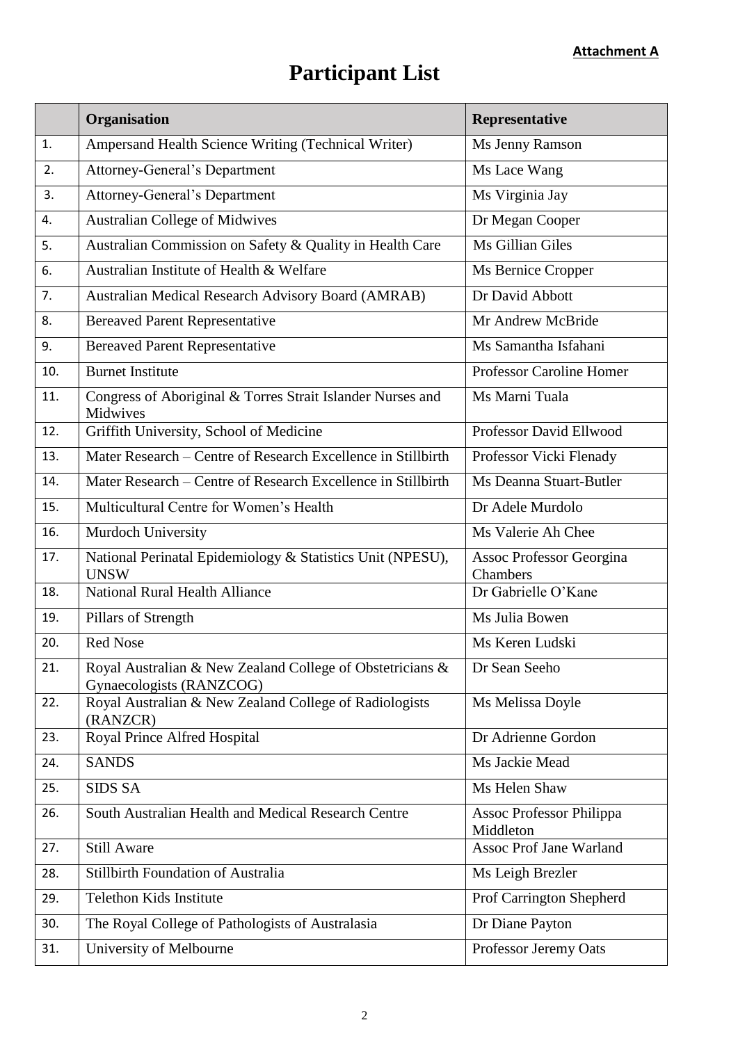# **Participant List**

|     | Organisation                                                                          | Representative                               |
|-----|---------------------------------------------------------------------------------------|----------------------------------------------|
| 1.  | Ampersand Health Science Writing (Technical Writer)                                   | Ms Jenny Ramson                              |
| 2.  | <b>Attorney-General's Department</b>                                                  | Ms Lace Wang                                 |
| 3.  | <b>Attorney-General's Department</b>                                                  | Ms Virginia Jay                              |
| 4.  | <b>Australian College of Midwives</b>                                                 | Dr Megan Cooper                              |
| 5.  | Australian Commission on Safety & Quality in Health Care                              | Ms Gillian Giles                             |
| 6.  | Australian Institute of Health & Welfare                                              | Ms Bernice Cropper                           |
| 7.  | <b>Australian Medical Research Advisory Board (AMRAB)</b>                             | Dr David Abbott                              |
| 8.  | <b>Bereaved Parent Representative</b>                                                 | Mr Andrew McBride                            |
| 9.  | <b>Bereaved Parent Representative</b>                                                 | Ms Samantha Isfahani                         |
| 10. | <b>Burnet Institute</b>                                                               | <b>Professor Caroline Homer</b>              |
| 11. | Congress of Aboriginal & Torres Strait Islander Nurses and<br>Midwives                | Ms Marni Tuala                               |
| 12. | Griffith University, School of Medicine                                               | Professor David Ellwood                      |
| 13. | Mater Research – Centre of Research Excellence in Stillbirth                          | Professor Vicki Flenady                      |
| 14. | Mater Research – Centre of Research Excellence in Stillbirth                          | Ms Deanna Stuart-Butler                      |
| 15. | Multicultural Centre for Women's Health                                               | Dr Adele Murdolo                             |
| 16. | Murdoch University                                                                    | Ms Valerie Ah Chee                           |
| 17. | National Perinatal Epidemiology & Statistics Unit (NPESU),<br><b>UNSW</b>             | Assoc Professor Georgina<br>Chambers         |
| 18. | <b>National Rural Health Alliance</b>                                                 | Dr Gabrielle O'Kane                          |
| 19. | Pillars of Strength                                                                   | Ms Julia Bowen                               |
| 20. | <b>Red Nose</b>                                                                       | Ms Keren Ludski                              |
| 21. | Royal Australian & New Zealand College of Obstetricians &<br>Gynaecologists (RANZCOG) | Dr Sean Seeho                                |
| 22. | Royal Australian & New Zealand College of Radiologists<br>(RANZCR)                    | Ms Melissa Doyle                             |
| 23. | Royal Prince Alfred Hospital                                                          | Dr Adrienne Gordon                           |
| 24. | <b>SANDS</b>                                                                          | Ms Jackie Mead                               |
| 25. | <b>SIDS SA</b>                                                                        | Ms Helen Shaw                                |
| 26. | South Australian Health and Medical Research Centre                                   | <b>Assoc Professor Philippa</b><br>Middleton |
| 27. | <b>Still Aware</b>                                                                    | <b>Assoc Prof Jane Warland</b>               |
| 28. | Stillbirth Foundation of Australia                                                    | Ms Leigh Brezler                             |
| 29. | <b>Telethon Kids Institute</b>                                                        | Prof Carrington Shepherd                     |
| 30. | The Royal College of Pathologists of Australasia                                      | Dr Diane Payton                              |
| 31. | University of Melbourne                                                               | Professor Jeremy Oats                        |